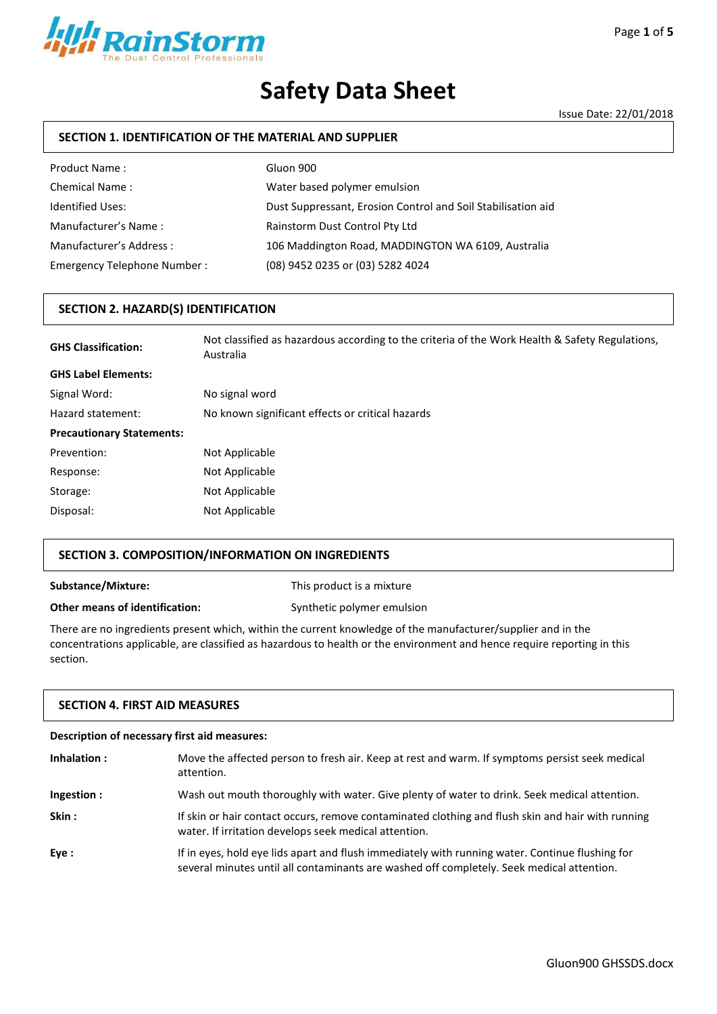

# **Safety Data Sheet**

Issue Date: 22/01/2018

# **SECTION 1. IDENTIFICATION OF THE MATERIAL AND SUPPLIER**

| Product Name:               | Gluon 900                                                    |
|-----------------------------|--------------------------------------------------------------|
| <b>Chemical Name:</b>       | Water based polymer emulsion                                 |
| <b>Identified Uses:</b>     | Dust Suppressant, Erosion Control and Soil Stabilisation aid |
| Manufacturer's Name:        | Rainstorm Dust Control Pty Ltd                               |
| Manufacturer's Address:     | 106 Maddington Road, MADDINGTON WA 6109, Australia           |
| Emergency Telephone Number: | (08) 9452 0235 or (03) 5282 4024                             |

#### **SECTION 2. HAZARD(S) IDENTIFICATION**

| <b>GHS Classification:</b>       | Not classified as hazardous according to the criteria of the Work Health & Safety Regulations,<br>Australia |
|----------------------------------|-------------------------------------------------------------------------------------------------------------|
| <b>GHS Label Elements:</b>       |                                                                                                             |
| Signal Word:                     | No signal word                                                                                              |
| Hazard statement:                | No known significant effects or critical hazards                                                            |
| <b>Precautionary Statements:</b> |                                                                                                             |
| Prevention:                      | Not Applicable                                                                                              |
| Response:                        | Not Applicable                                                                                              |
| Storage:                         | Not Applicable                                                                                              |
| Disposal:                        | Not Applicable                                                                                              |

### **SECTION 3. COMPOSITION/INFORMATION ON INGREDIENTS**

**Substance/Mixture:** This product is a mixture

**Other means of identification:** Synthetic polymer emulsion

There are no ingredients present which, within the current knowledge of the manufacturer/supplier and in the concentrations applicable, are classified as hazardous to health or the environment and hence require reporting in this section.

#### **SECTION 4. FIRST AID MEASURES**

| Description of necessary first aid measures: |                                                                                                                                                                                              |  |
|----------------------------------------------|----------------------------------------------------------------------------------------------------------------------------------------------------------------------------------------------|--|
| Inhalation:                                  | Move the affected person to fresh air. Keep at rest and warm. If symptoms persist seek medical<br>attention.                                                                                 |  |
| Ingestion :                                  | Wash out mouth thoroughly with water. Give plenty of water to drink. Seek medical attention.                                                                                                 |  |
| Skin:                                        | If skin or hair contact occurs, remove contaminated clothing and flush skin and hair with running<br>water. If irritation develops seek medical attention.                                   |  |
| Eye:                                         | If in eyes, hold eye lids apart and flush immediately with running water. Continue flushing for<br>several minutes until all contaminants are washed off completely. Seek medical attention. |  |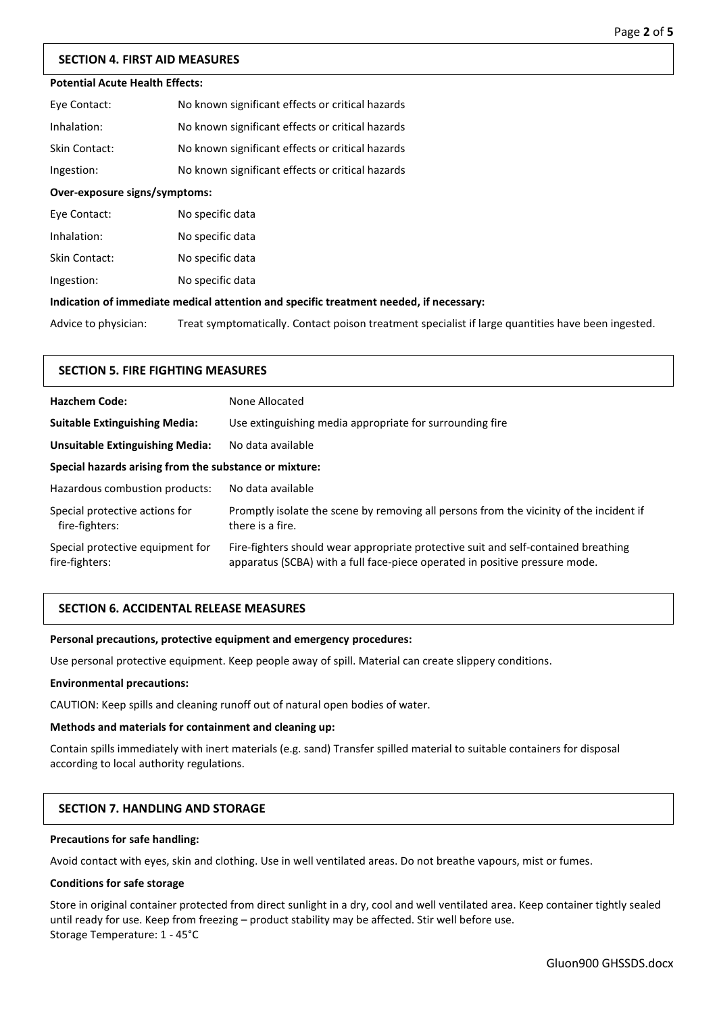# **SECTION 4. FIRST AID MEASURES**

# **Potential Acute Health Effects:**

| Over-exposure signs/symptoms: |                                                  |
|-------------------------------|--------------------------------------------------|
| Ingestion:                    | No known significant effects or critical hazards |
| Skin Contact:                 | No known significant effects or critical hazards |
| Inhalation:                   | No known significant effects or critical hazards |
| Eye Contact:                  | No known significant effects or critical hazards |

| Eye Contact:  | No specific data |
|---------------|------------------|
| Inhalation:   | No specific data |
| Skin Contact: | No specific data |
| Ingestion:    | No specific data |

#### **Indication of immediate medical attention and specific treatment needed, if necessary:**

Advice to physician: Treat symptomatically. Contact poison treatment specialist if large quantities have been ingested.

### **SECTION 5. FIRE FIGHTING MEASURES**

| <b>Hazchem Code:</b>                                   | None Allocated                                                                                                                                                    |  |
|--------------------------------------------------------|-------------------------------------------------------------------------------------------------------------------------------------------------------------------|--|
| <b>Suitable Extinguishing Media:</b>                   | Use extinguishing media appropriate for surrounding fire                                                                                                          |  |
| Unsuitable Extinguishing Media:                        | No data available                                                                                                                                                 |  |
| Special hazards arising from the substance or mixture: |                                                                                                                                                                   |  |
| Hazardous combustion products:                         | No data available                                                                                                                                                 |  |
| Special protective actions for<br>fire-fighters:       | Promptly isolate the scene by removing all persons from the vicinity of the incident if<br>there is a fire.                                                       |  |
| Special protective equipment for<br>fire-fighters:     | Fire-fighters should wear appropriate protective suit and self-contained breathing<br>apparatus (SCBA) with a full face-piece operated in positive pressure mode. |  |

### **SECTION 6. ACCIDENTAL RELEASE MEASURES**

#### **Personal precautions, protective equipment and emergency procedures:**

Use personal protective equipment. Keep people away of spill. Material can create slippery conditions.

#### **Environmental precautions:**

CAUTION: Keep spills and cleaning runoff out of natural open bodies of water.

#### **Methods and materials for containment and cleaning up:**

Contain spills immediately with inert materials (e.g. sand) Transfer spilled material to suitable containers for disposal according to local authority regulations.

#### **SECTION 7. HANDLING AND STORAGE**

#### **Precautions for safe handling:**

Avoid contact with eyes, skin and clothing. Use in well ventilated areas. Do not breathe vapours, mist or fumes.

#### **Conditions for safe storage**

Store in original container protected from direct sunlight in a dry, cool and well ventilated area. Keep container tightly sealed until ready for use. Keep from freezing – product stability may be affected. Stir well before use. Storage Temperature: 1 - 45°C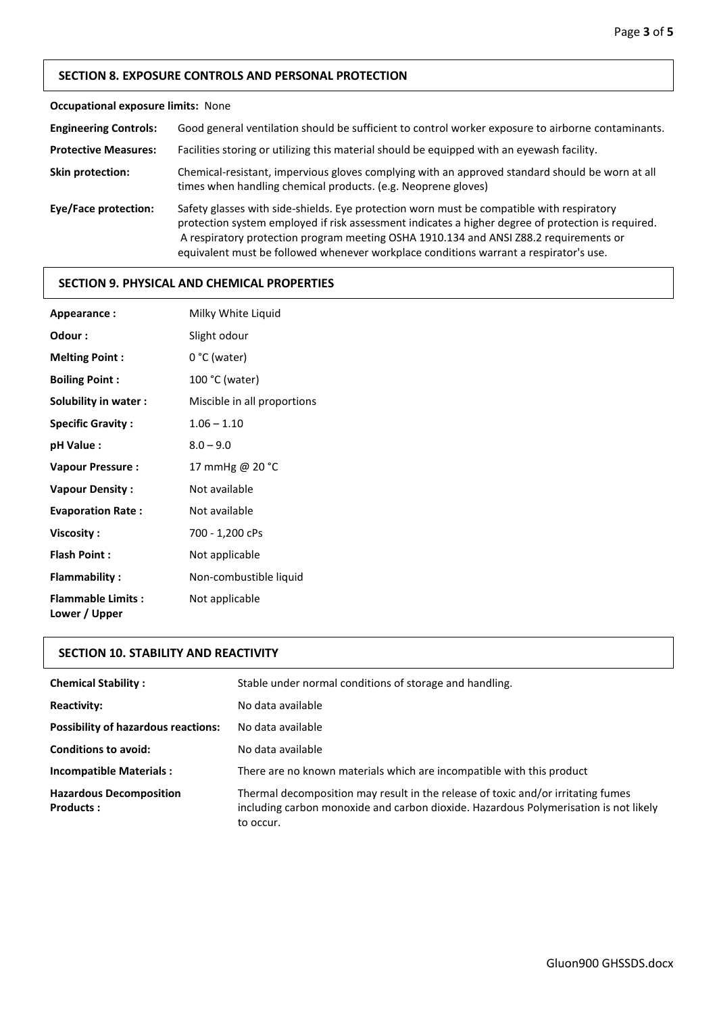# **SECTION 8. EXPOSURE CONTROLS AND PERSONAL PROTECTION**

# **Occupational exposure limits:** None

| <b>Engineering Controls:</b> | Good general ventilation should be sufficient to control worker exposure to airborne contaminants.                                                                                                                                                                                                                                                                                |
|------------------------------|-----------------------------------------------------------------------------------------------------------------------------------------------------------------------------------------------------------------------------------------------------------------------------------------------------------------------------------------------------------------------------------|
| <b>Protective Measures:</b>  | Facilities storing or utilizing this material should be equipped with an eyewash facility.                                                                                                                                                                                                                                                                                        |
| <b>Skin protection:</b>      | Chemical-resistant, impervious gloves complying with an approved standard should be worn at all<br>times when handling chemical products. (e.g. Neoprene gloves)                                                                                                                                                                                                                  |
| Eye/Face protection:         | Safety glasses with side-shields. Eye protection worn must be compatible with respiratory<br>protection system employed if risk assessment indicates a higher degree of protection is required.<br>A respiratory protection program meeting OSHA 1910.134 and ANSI Z88.2 requirements or<br>equivalent must be followed whenever workplace conditions warrant a respirator's use. |

### **SECTION 9. PHYSICAL AND CHEMICAL PROPERTIES**

| Appearance:                               | Milky White Liquid          |
|-------------------------------------------|-----------------------------|
| Odour:                                    | Slight odour                |
| <b>Melting Point:</b>                     | $0 °C$ (water)              |
| <b>Boiling Point:</b>                     | 100 °C (water)              |
| Solubility in water:                      | Miscible in all proportions |
| <b>Specific Gravity:</b>                  | $1.06 - 1.10$               |
| pH Value :                                | $8.0 - 9.0$                 |
| <b>Vapour Pressure:</b>                   | 17 mmHg @ 20 °C             |
| <b>Vapour Density:</b>                    | Not available               |
| <b>Evaporation Rate:</b>                  | Not available               |
| Viscosity:                                | 700 - 1,200 cPs             |
| <b>Flash Point:</b>                       | Not applicable              |
| <b>Flammability:</b>                      | Non-combustible liquid      |
| <b>Flammable Limits:</b><br>Lower / Upper | Not applicable              |

# **SECTION 10. STABILITY AND REACTIVITY**

| <b>Chemical Stability:</b>                         | Stable under normal conditions of storage and handling.                                                                                                                               |
|----------------------------------------------------|---------------------------------------------------------------------------------------------------------------------------------------------------------------------------------------|
| <b>Reactivity:</b>                                 | No data available                                                                                                                                                                     |
| <b>Possibility of hazardous reactions:</b>         | No data available                                                                                                                                                                     |
| <b>Conditions to avoid:</b>                        | No data available                                                                                                                                                                     |
| <b>Incompatible Materials:</b>                     | There are no known materials which are incompatible with this product                                                                                                                 |
| <b>Hazardous Decomposition</b><br><b>Products:</b> | Thermal decomposition may result in the release of toxic and/or irritating fumes<br>including carbon monoxide and carbon dioxide. Hazardous Polymerisation is not likely<br>to occur. |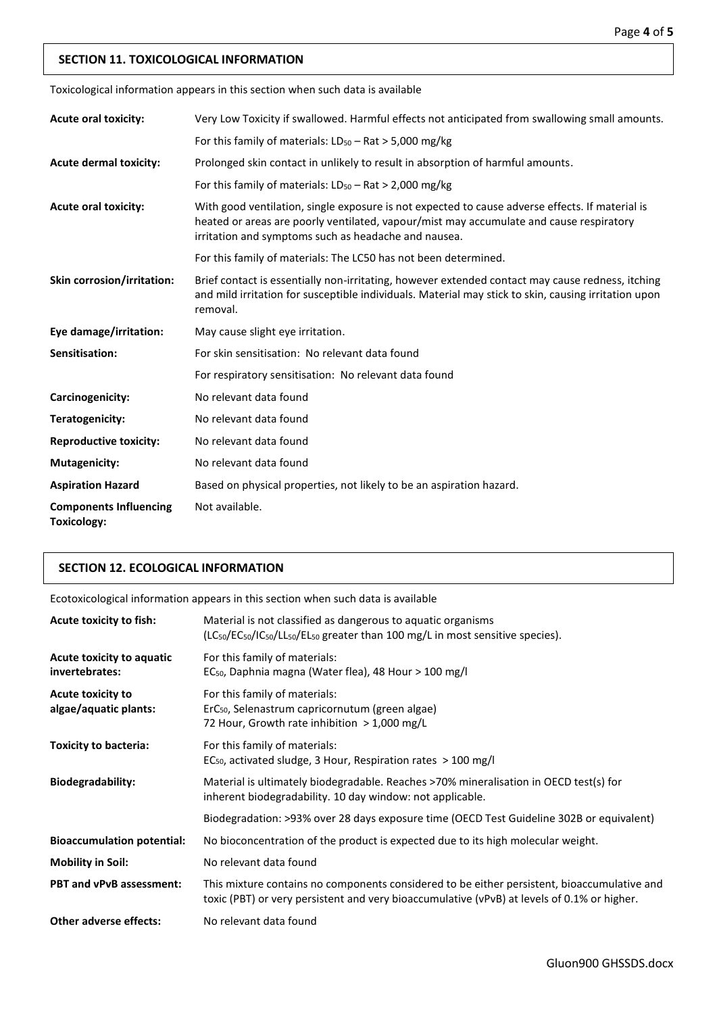# **SECTION 11. TOXICOLOGICAL INFORMATION**

Toxicological information appears in this section when such data is available

| <b>Acute oral toxicity:</b>                         | Very Low Toxicity if swallowed. Harmful effects not anticipated from swallowing small amounts.                                                                                                                                                     |
|-----------------------------------------------------|----------------------------------------------------------------------------------------------------------------------------------------------------------------------------------------------------------------------------------------------------|
|                                                     | For this family of materials: $LD_{50} - Rat > 5,000$ mg/kg                                                                                                                                                                                        |
| <b>Acute dermal toxicity:</b>                       | Prolonged skin contact in unlikely to result in absorption of harmful amounts.                                                                                                                                                                     |
|                                                     | For this family of materials: $LD_{50} - Rat > 2,000$ mg/kg                                                                                                                                                                                        |
| <b>Acute oral toxicity:</b>                         | With good ventilation, single exposure is not expected to cause adverse effects. If material is<br>heated or areas are poorly ventilated, vapour/mist may accumulate and cause respiratory<br>irritation and symptoms such as headache and nausea. |
|                                                     | For this family of materials: The LC50 has not been determined.                                                                                                                                                                                    |
| Skin corrosion/irritation:                          | Brief contact is essentially non-irritating, however extended contact may cause redness, itching<br>and mild irritation for susceptible individuals. Material may stick to skin, causing irritation upon<br>removal.                               |
| Eye damage/irritation:                              | May cause slight eye irritation.                                                                                                                                                                                                                   |
| Sensitisation:                                      | For skin sensitisation: No relevant data found                                                                                                                                                                                                     |
|                                                     | For respiratory sensitisation: No relevant data found                                                                                                                                                                                              |
| Carcinogenicity:                                    | No relevant data found                                                                                                                                                                                                                             |
| Teratogenicity:                                     | No relevant data found                                                                                                                                                                                                                             |
| <b>Reproductive toxicity:</b>                       | No relevant data found                                                                                                                                                                                                                             |
| <b>Mutagenicity:</b>                                | No relevant data found                                                                                                                                                                                                                             |
| <b>Aspiration Hazard</b>                            | Based on physical properties, not likely to be an aspiration hazard.                                                                                                                                                                               |
| <b>Components Influencing</b><br><b>Toxicology:</b> | Not available.                                                                                                                                                                                                                                     |

# **SECTION 12. ECOLOGICAL INFORMATION**

Ecotoxicological information appears in this section when such data is available

| Acute toxicity to fish:                           | Material is not classified as dangerous to aquatic organisms<br>$(LC_{50}/EC_{50}/IC_{50}/EL_{50}/E_{50}$ greater than 100 mg/L in most sensitive species).                                |
|---------------------------------------------------|--------------------------------------------------------------------------------------------------------------------------------------------------------------------------------------------|
| Acute toxicity to aquatic<br>invertebrates:       | For this family of materials:<br>EC <sub>50</sub> , Daphnia magna (Water flea), 48 Hour > 100 mg/l                                                                                         |
| <b>Acute toxicity to</b><br>algae/aquatic plants: | For this family of materials:<br>ErC <sub>50</sub> , Selenastrum capricornutum (green algae)<br>72 Hour, Growth rate inhibition > 1,000 mg/L                                               |
| <b>Toxicity to bacteria:</b>                      | For this family of materials:<br>EC <sub>50</sub> , activated sludge, 3 Hour, Respiration rates $>$ 100 mg/l                                                                               |
| <b>Biodegradability:</b>                          | Material is ultimately biodegradable. Reaches >70% mineralisation in OECD test(s) for<br>inherent biodegradability. 10 day window: not applicable.                                         |
|                                                   | Biodegradation: >93% over 28 days exposure time (OECD Test Guideline 302B or equivalent)                                                                                                   |
| <b>Bioaccumulation potential:</b>                 | No bioconcentration of the product is expected due to its high molecular weight.                                                                                                           |
| <b>Mobility in Soil:</b>                          | No relevant data found                                                                                                                                                                     |
| <b>PBT and vPvB assessment:</b>                   | This mixture contains no components considered to be either persistent, bioaccumulative and<br>toxic (PBT) or very persistent and very bioaccumulative (vPvB) at levels of 0.1% or higher. |
| <b>Other adverse effects:</b>                     | No relevant data found                                                                                                                                                                     |